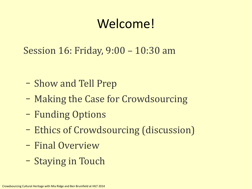### Welcome!

Session 16: Friday, 9:00 – 10:30 am

- Show and Tell Prep
- Making the Case for Crowdsourcing
- Funding Options
- Ethics of Crowdsourcing (discussion)
- Final Overview
- Staying in Touch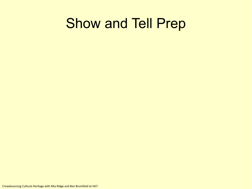### Show and Tell Prep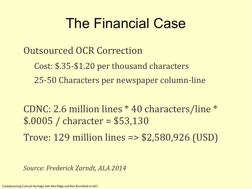## The Financial Case

Outsourced OCR Correction

Cost: \$.35-\$1.20 per thousand characters 25-50 Characters per newspaper column-line

CDNC: 2.6 million lines \* 40 characters/line \* \$.0005 / character = \$53,130

Trove: 129 million lines => \$2,580,926 (USD)

*Source: Frederick Zarndt, ALA 2014*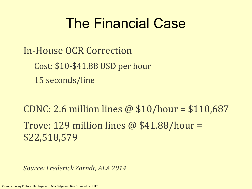## The Financial Case

In-House OCR Correction Cost: \$10-\$41.88 USD per hour 15 seconds/line

CDNC: 2.6 million lines @ \$10/hour = \$110,687 Trove: 129 million lines  $\omega$  \$41.88/hour = \$22,518,579

*Source: Frederick Zarndt, ALA 2014*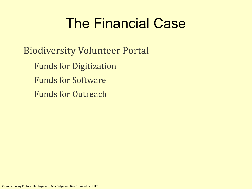## The Financial Case

Biodiversity Volunteer Portal Funds for Digitization Funds for Software Funds for Outreach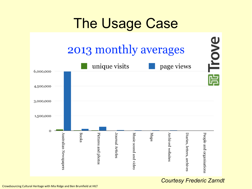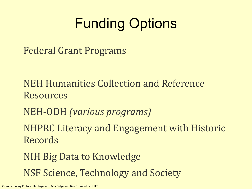# Funding Options

Federal Grant Programs

- NEH Humanities Collection and Reference Resources
- NEH-ODH *(various programs)*
- NHPRC Literacy and Engagement with Historic Records
- NIH Big Data to Knowledge NSF Science, Technology and Society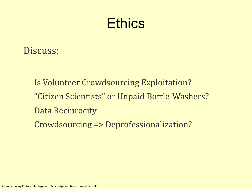### **Ethics**

#### Discuss:

Is Volunteer Crowdsourcing Exploitation? "Citizen Scientists" or Unpaid Bottle-Washers? Data Reciprocity Crowdsourcing => Deprofessionalization?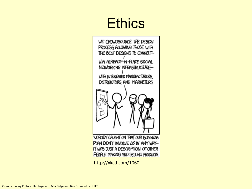## **Ethics**



PLAN DIDN'T INVOLVE LS IN ANY WAY-IT WAS JUST A DESCRIPTION OF OTHER PEOPLE MAKING AND SELLING PRODUCTS.

http://xkcd.com/1060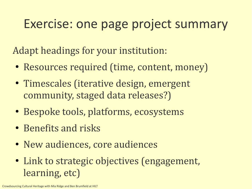### Exercise: one page project summary

Adapt headings for your institution:

- Resources required (time, content, money)
- Timescales (iterative design, emergent community, staged data releases?)
- Bespoke tools, platforms, ecosystems
- Benefits and risks
- New audiences, core audiences
- Link to strategic objectives (engagement, learning, etc)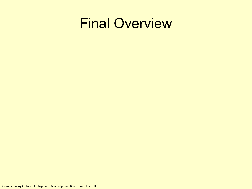### Final Overview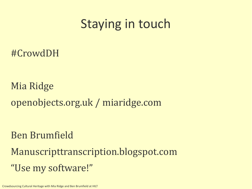### Staying in touch

#CrowdDH

Mia Ridge openobjects.org.uk / miaridge.com

Ben Brumfield

Manuscripttranscription.blogspot.com "Use my software!"